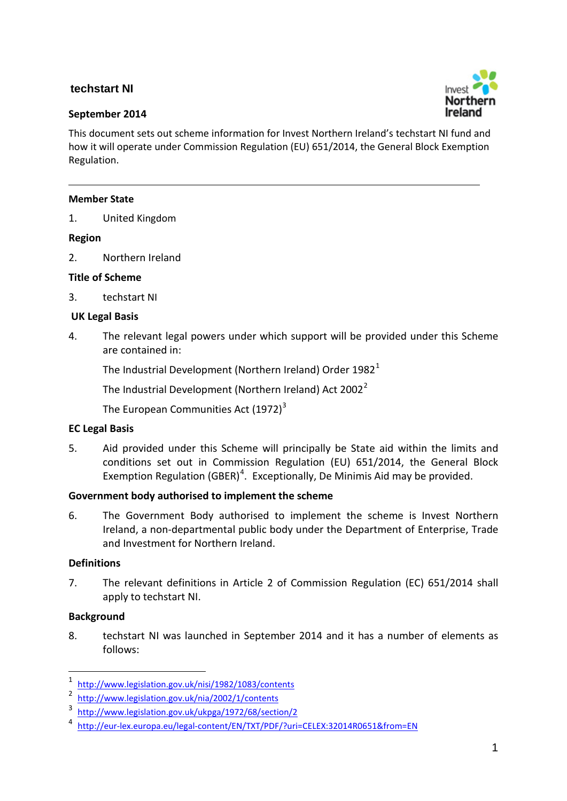# **techstart NI**

## **September 2014**



This document sets out scheme information for Invest Northern Ireland's techstart NI fund and how it will operate under Commission Regulation (EU) 651/2014, the General Block Exemption Regulation.

### **Member State**

1. United Kingdom

## **Region**

2. Northern Ireland

## **Title of Scheme**

3. techstart NI

## **UK Legal Basis**

4. The relevant legal powers under which support will be provided under this Scheme are contained in:

The Industrial Development (Northern Ireland) Order  $1982<sup>1</sup>$  $1982<sup>1</sup>$ 

The Industrial Development (Northern Ireland) Act  $2002^2$  $2002^2$ 

The European Communities Act  $(1972)^3$  $(1972)^3$ 

# **EC Legal Basis**

5. Aid provided under this Scheme will principally be State aid within the limits and conditions set out in Commission Regulation (EU) 651/2014, the General Block Exemption Regulation (GBER)<sup>[4](#page-0-3)</sup>. Exceptionally, De Minimis Aid may be provided.

# **Government body authorised to implement the scheme**

6. The Government Body authorised to implement the scheme is Invest Northern Ireland, a non-departmental public body under the Department of Enterprise, Trade and Investment for Northern Ireland.

# **Definitions**

7. The relevant definitions in Article 2 of Commission Regulation (EC) 651/2014 shall apply to techstart NI.

### **Background**

8. techstart NI was launched in September 2014 and it has a number of elements as follows:

 $\frac{1}{1}$  $\frac{1}{2}$  http://www.legislation.gov.uk/nisi/1982/1083/contents

<span id="page-0-1"></span><span id="page-0-0"></span> $\frac{1}{3}$  http://www.legislation.gov.uk/nia/2002/1/contents

<span id="page-0-2"></span><http://www.legislation.gov.uk/ukpga/1972/68/section/2>4

<span id="page-0-3"></span><http://eur-lex.europa.eu/legal-content/EN/TXT/PDF/?uri=CELEX:32014R0651&from=EN>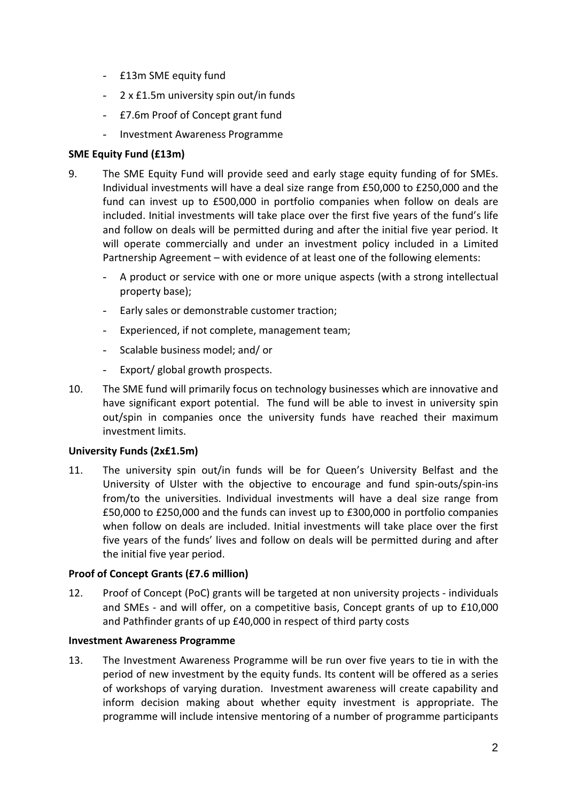- £13m SME equity fund
- 2 x £1.5m university spin out/in funds
- £7.6m Proof of Concept grant fund
- Investment Awareness Programme

## **SME Equity Fund (£13m)**

- 9. The SME Equity Fund will provide seed and early stage equity funding of for SMEs. Individual investments will have a deal size range from £50,000 to £250,000 and the fund can invest up to £500,000 in portfolio companies when follow on deals are included. Initial investments will take place over the first five years of the fund's life and follow on deals will be permitted during and after the initial five year period. It will operate commercially and under an investment policy included in a Limited Partnership Agreement – with evidence of at least one of the following elements:
	- A product or service with one or more unique aspects (with a strong intellectual property base);
	- Early sales or demonstrable customer traction;
	- Experienced, if not complete, management team;
	- Scalable business model; and/ or
	- Export/ global growth prospects.
- 10. The SME fund will primarily focus on technology businesses which are innovative and have significant export potential. The fund will be able to invest in university spin out/spin in companies once the university funds have reached their maximum investment limits.

### **University Funds (2x£1.5m)**

11. The university spin out/in funds will be for Queen's University Belfast and the University of Ulster with the objective to encourage and fund spin-outs/spin-ins from/to the universities. Individual investments will have a deal size range from £50,000 to £250,000 and the funds can invest up to £300,000 in portfolio companies when follow on deals are included. Initial investments will take place over the first five years of the funds' lives and follow on deals will be permitted during and after the initial five year period.

### **Proof of Concept Grants (£7.6 million)**

12. Proof of Concept (PoC) grants will be targeted at non university projects - individuals and SMEs - and will offer, on a competitive basis, Concept grants of up to £10,000 and Pathfinder grants of up £40,000 in respect of third party costs

### **Investment Awareness Programme**

13. The Investment Awareness Programme will be run over five years to tie in with the period of new investment by the equity funds. Its content will be offered as a series of workshops of varying duration. Investment awareness will create capability and inform decision making about whether equity investment is appropriate. The programme will include intensive mentoring of a number of programme participants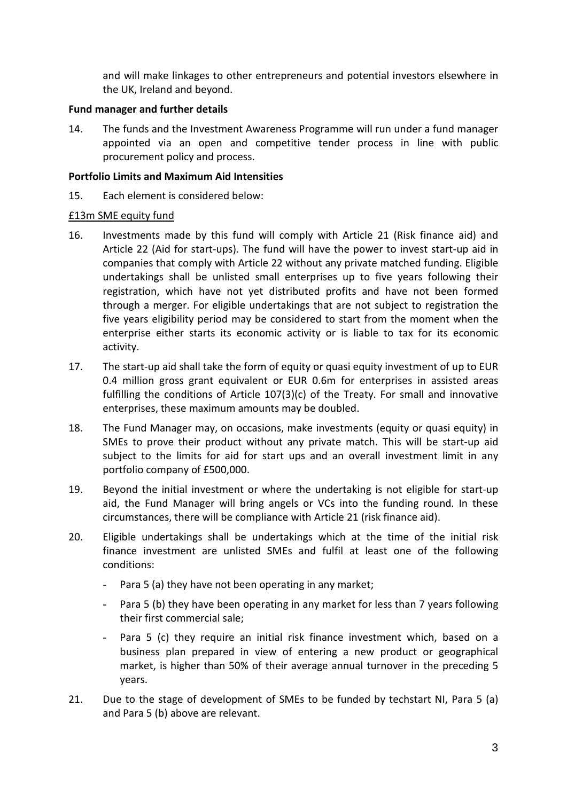and will make linkages to other entrepreneurs and potential investors elsewhere in the UK, Ireland and beyond.

## **Fund manager and further details**

14. The funds and the Investment Awareness Programme will run under a fund manager appointed via an open and competitive tender process in line with public procurement policy and process.

### **Portfolio Limits and Maximum Aid Intensities**

15. Each element is considered below:

## £13m SME equity fund

- 16. Investments made by this fund will comply with Article 21 (Risk finance aid) and Article 22 (Aid for start-ups). The fund will have the power to invest start-up aid in companies that comply with Article 22 without any private matched funding. Eligible undertakings shall be unlisted small enterprises up to five years following their registration, which have not yet distributed profits and have not been formed through a merger. For eligible undertakings that are not subject to registration the five years eligibility period may be considered to start from the moment when the enterprise either starts its economic activity or is liable to tax for its economic activity.
- 17. The start-up aid shall take the form of equity or quasi equity investment of up to EUR 0.4 million gross grant equivalent or EUR 0.6m for enterprises in assisted areas fulfilling the conditions of Article 107(3)(c) of the Treaty. For small and innovative enterprises, these maximum amounts may be doubled.
- 18. The Fund Manager may, on occasions, make investments (equity or quasi equity) in SMEs to prove their product without any private match. This will be start-up aid subject to the limits for aid for start ups and an overall investment limit in any portfolio company of £500,000.
- 19. Beyond the initial investment or where the undertaking is not eligible for start-up aid, the Fund Manager will bring angels or VCs into the funding round. In these circumstances, there will be compliance with Article 21 (risk finance aid).
- 20. Eligible undertakings shall be undertakings which at the time of the initial risk finance investment are unlisted SMEs and fulfil at least one of the following conditions:
	- Para 5 (a) they have not been operating in any market;
	- Para 5 (b) they have been operating in any market for less than 7 years following their first commercial sale;
	- Para 5 (c) they require an initial risk finance investment which, based on a business plan prepared in view of entering a new product or geographical market, is higher than 50% of their average annual turnover in the preceding 5 years.
- 21. Due to the stage of development of SMEs to be funded by techstart NI, Para 5 (a) and Para 5 (b) above are relevant.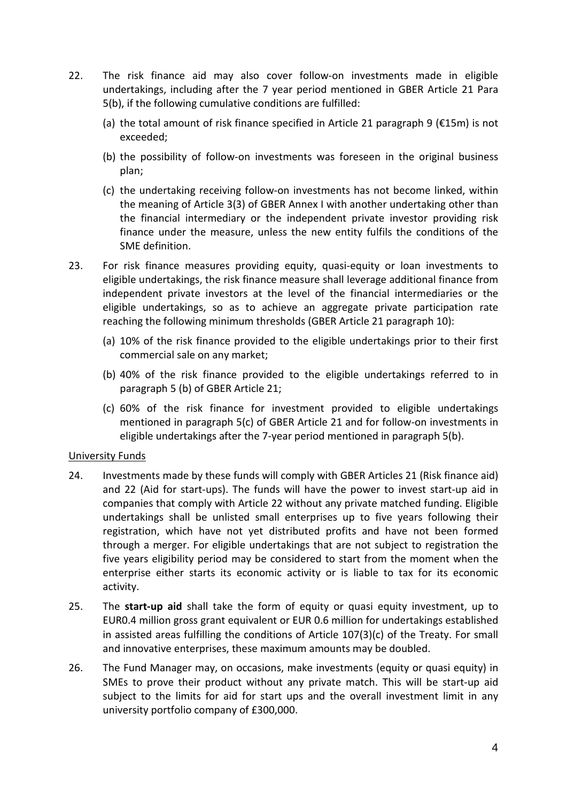- 22. The risk finance aid may also cover follow-on investments made in eligible undertakings, including after the 7 year period mentioned in GBER Article 21 Para 5(b), if the following cumulative conditions are fulfilled:
	- (a) the total amount of risk finance specified in Article 21 paragraph 9 ( $\epsilon$ 15m) is not exceeded;
	- (b) the possibility of follow-on investments was foreseen in the original business plan;
	- (c) the undertaking receiving follow-on investments has not become linked, within the meaning of Article 3(3) of GBER Annex I with another undertaking other than the financial intermediary or the independent private investor providing risk finance under the measure, unless the new entity fulfils the conditions of the SME definition.
- 23. For risk finance measures providing equity, quasi-equity or loan investments to eligible undertakings, the risk finance measure shall leverage additional finance from independent private investors at the level of the financial intermediaries or the eligible undertakings, so as to achieve an aggregate private participation rate reaching the following minimum thresholds (GBER Article 21 paragraph 10):
	- (a) 10% of the risk finance provided to the eligible undertakings prior to their first commercial sale on any market;
	- (b) 40% of the risk finance provided to the eligible undertakings referred to in paragraph 5 (b) of GBER Article 21;
	- (c) 60% of the risk finance for investment provided to eligible undertakings mentioned in paragraph 5(c) of GBER Article 21 and for follow-on investments in eligible undertakings after the 7-year period mentioned in paragraph 5(b).

### University Funds

- 24. Investments made by these funds will comply with GBER Articles 21 (Risk finance aid) and 22 (Aid for start-ups). The funds will have the power to invest start-up aid in companies that comply with Article 22 without any private matched funding. Eligible undertakings shall be unlisted small enterprises up to five years following their registration, which have not yet distributed profits and have not been formed through a merger. For eligible undertakings that are not subject to registration the five years eligibility period may be considered to start from the moment when the enterprise either starts its economic activity or is liable to tax for its economic activity.
- 25. The **start-up aid** shall take the form of equity or quasi equity investment, up to EUR0.4 million gross grant equivalent or EUR 0.6 million for undertakings established in assisted areas fulfilling the conditions of Article 107(3)(c) of the Treaty. For small and innovative enterprises, these maximum amounts may be doubled.
- 26. The Fund Manager may, on occasions, make investments (equity or quasi equity) in SMEs to prove their product without any private match. This will be start-up aid subject to the limits for aid for start ups and the overall investment limit in any university portfolio company of £300,000.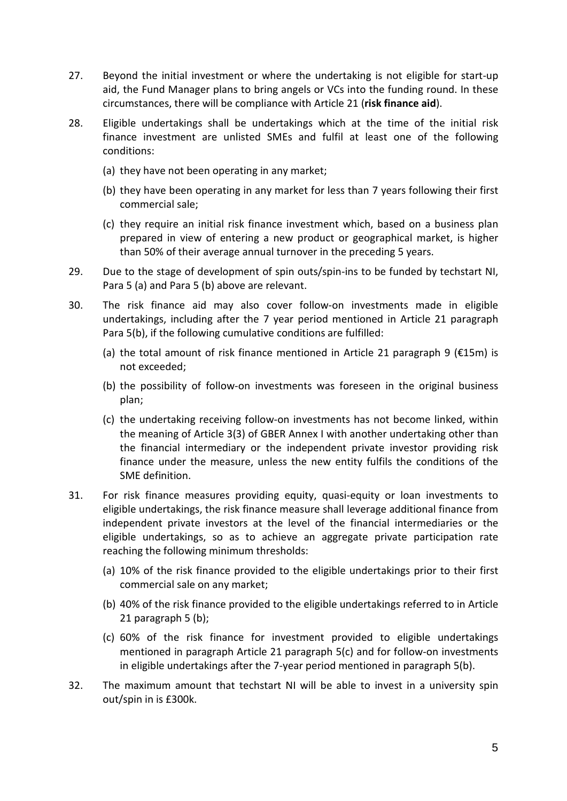- 27. Beyond the initial investment or where the undertaking is not eligible for start-up aid, the Fund Manager plans to bring angels or VCs into the funding round. In these circumstances, there will be compliance with Article 21 (**risk finance aid**).
- 28. Eligible undertakings shall be undertakings which at the time of the initial risk finance investment are unlisted SMEs and fulfil at least one of the following conditions:
	- (a) they have not been operating in any market;
	- (b) they have been operating in any market for less than 7 years following their first commercial sale;
	- (c) they require an initial risk finance investment which, based on a business plan prepared in view of entering a new product or geographical market, is higher than 50% of their average annual turnover in the preceding 5 years.
- 29. Due to the stage of development of spin outs/spin-ins to be funded by techstart NI, Para 5 (a) and Para 5 (b) above are relevant.
- 30. The risk finance aid may also cover follow-on investments made in eligible undertakings, including after the 7 year period mentioned in Article 21 paragraph Para 5(b), if the following cumulative conditions are fulfilled:
	- (a) the total amount of risk finance mentioned in Article 21 paragraph 9 ( $\epsilon$ 15m) is not exceeded;
	- (b) the possibility of follow-on investments was foreseen in the original business plan;
	- (c) the undertaking receiving follow-on investments has not become linked, within the meaning of Article 3(3) of GBER Annex I with another undertaking other than the financial intermediary or the independent private investor providing risk finance under the measure, unless the new entity fulfils the conditions of the SME definition.
- 31. For risk finance measures providing equity, quasi-equity or loan investments to eligible undertakings, the risk finance measure shall leverage additional finance from independent private investors at the level of the financial intermediaries or the eligible undertakings, so as to achieve an aggregate private participation rate reaching the following minimum thresholds:
	- (a) 10% of the risk finance provided to the eligible undertakings prior to their first commercial sale on any market;
	- (b) 40% of the risk finance provided to the eligible undertakings referred to in Article 21 paragraph 5 (b);
	- (c) 60% of the risk finance for investment provided to eligible undertakings mentioned in paragraph Article 21 paragraph 5(c) and for follow-on investments in eligible undertakings after the 7-year period mentioned in paragraph 5(b).
- 32. The maximum amount that techstart NI will be able to invest in a university spin out/spin in is £300k.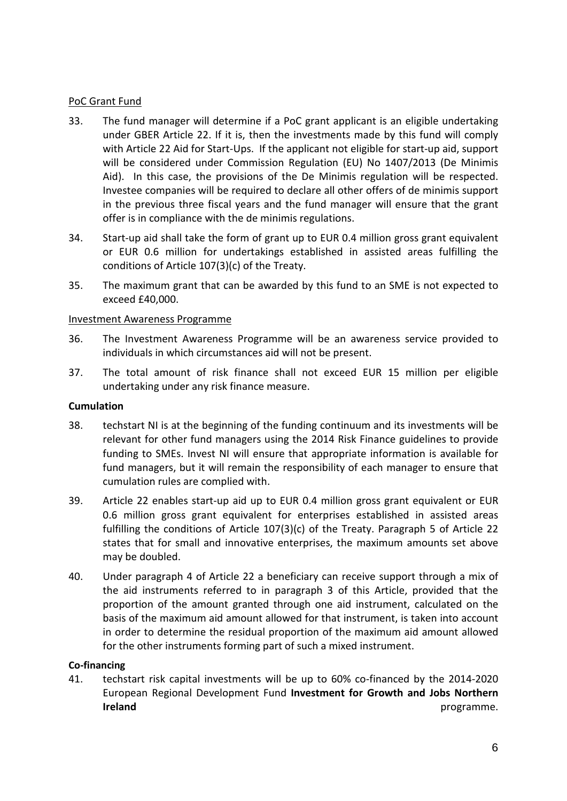## PoC Grant Fund

- 33. The fund manager will determine if a PoC grant applicant is an eligible undertaking under GBER Article 22. If it is, then the investments made by this fund will comply with Article 22 Aid for Start-Ups. If the applicant not eligible for start-up aid, support will be considered under Commission Regulation (EU) No 1407/2013 (De Minimis Aid). In this case, the provisions of the De Minimis regulation will be respected. Investee companies will be required to declare all other offers of de minimis support in the previous three fiscal years and the fund manager will ensure that the grant offer is in compliance with the de minimis regulations.
- 34. Start-up aid shall take the form of grant up to EUR 0.4 million gross grant equivalent or EUR 0.6 million for undertakings established in assisted areas fulfilling the conditions of Article 107(3)(c) of the Treaty.
- 35. The maximum grant that can be awarded by this fund to an SME is not expected to exceed £40,000.

## Investment Awareness Programme

- 36. The Investment Awareness Programme will be an awareness service provided to individuals in which circumstances aid will not be present.
- 37. The total amount of risk finance shall not exceed EUR 15 million per eligible undertaking under any risk finance measure.

### **Cumulation**

- 38. techstart NI is at the beginning of the funding continuum and its investments will be relevant for other fund managers using the 2014 Risk Finance guidelines to provide funding to SMEs. Invest NI will ensure that appropriate information is available for fund managers, but it will remain the responsibility of each manager to ensure that cumulation rules are complied with.
- 39. Article 22 enables start-up aid up to EUR 0.4 million gross grant equivalent or EUR 0.6 million gross grant equivalent for enterprises established in assisted areas fulfilling the conditions of Article 107(3)(c) of the Treaty. Paragraph 5 of Article 22 states that for small and innovative enterprises, the maximum amounts set above may be doubled.
- 40. Under paragraph 4 of Article 22 a beneficiary can receive support through a mix of the aid instruments referred to in paragraph 3 of this Article, provided that the proportion of the amount granted through one aid instrument, calculated on the basis of the maximum aid amount allowed for that instrument, is taken into account in order to determine the residual proportion of the maximum aid amount allowed for the other instruments forming part of such a mixed instrument.

### **Co-financing**

41. techstart risk capital investments will be up to 60% co-financed by the 2014-2020 European Regional Development Fund **Investment for Growth and Jobs Northern Ireland programme.**